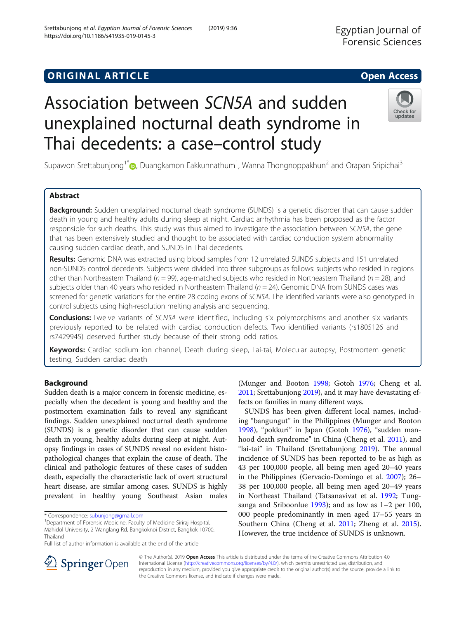# **ORIGINAL ARTICLE CONSERVANCE IN A LOCAL CONSERVANCE IN A LOCAL CONSERVANCE IN A LOCAL CONSERVANCE IN A LOCAL CONS**

# Association between SCN5A and sudden unexplained nocturnal death syndrome in Thai decedents: a case–control study

Supawon Srettabunjong<sup>1[\\*](http://orcid.org/0000-0001-5098-7497)</sup>�, Duangkamon Eakkunnathum<sup>1</sup>, Wanna Thongnoppakhun<sup>2</sup> and Orapan Sripichai<sup>3</sup>

# Abstract

**Background:** Sudden unexplained nocturnal death syndrome (SUNDS) is a genetic disorder that can cause sudden death in young and healthy adults during sleep at night. Cardiac arrhythmia has been proposed as the factor responsible for such deaths. This study was thus aimed to investigate the association between SCN5A, the gene that has been extensively studied and thought to be associated with cardiac conduction system abnormality causing sudden cardiac death, and SUNDS in Thai decedents.

Results: Genomic DNA was extracted using blood samples from 12 unrelated SUNDS subjects and 151 unrelated non-SUNDS control decedents. Subjects were divided into three subgroups as follows: subjects who resided in regions other than Northeastern Thailand ( $n = 99$ ), age-matched subjects who resided in Northeastern Thailand ( $n = 28$ ), and subjects older than 40 years who resided in Northeastern Thailand ( $n = 24$ ). Genomic DNA from SUNDS cases was screened for genetic variations for the entire 28 coding exons of SCN5A. The identified variants were also genotyped in control subjects using high-resolution melting analysis and sequencing.

**Conclusions:** Twelve variants of SCN5A were identified, including six polymorphisms and another six variants previously reported to be related with cardiac conduction defects. Two identified variants (rs1805126 and rs7429945) deserved further study because of their strong odd ratios.

Keywords: Cardiac sodium ion channel, Death during sleep, Lai-tai, Molecular autopsy, Postmortem genetic testing, Sudden cardiac death

> © The Author(s). 2019 Open Access This article is distributed under the terms of the Creative Commons Attribution 4.0 International License ([http://creativecommons.org/licenses/by/4.0/\)](http://creativecommons.org/licenses/by/4.0/), which permits unrestricted use, distribution, and reproduction in any medium, provided you give appropriate credit to the original author(s) and the source, provide a link to

the Creative Commons license, and indicate if changes were made.

## Background

Sudden death is a major concern in forensic medicine, especially when the decedent is young and healthy and the postmortem examination fails to reveal any significant findings. Sudden unexplained nocturnal death syndrome (SUNDS) is a genetic disorder that can cause sudden death in young, healthy adults during sleep at night. Autopsy findings in cases of SUNDS reveal no evident histopathological changes that explain the cause of death. The clinical and pathologic features of these cases of sudden death, especially the characteristic lack of overt structural heart disease, are similar among cases. SUNDS is highly prevalent in healthy young Southeast Asian males

(Munger and Booton [1998;](#page-8-0) Gotoh [1976;](#page-8-0) Cheng et al. [2011;](#page-7-0) Srettabunjong [2019\)](#page-8-0), and it may have devastating effects on families in many different ways.

SUNDS has been given different local names, including "bangungut" in the Philippines (Munger and Booton [1998](#page-8-0)), "pokkuri" in Japan (Gotoh [1976\)](#page-8-0), "sudden manhood death syndrome" in China (Cheng et al. [2011](#page-7-0)), and "lai-tai" in Thailand (Srettabunjong [2019\)](#page-8-0). The annual incidence of SUNDS has been reported to be as high as 43 per 100,000 people, all being men aged 20–40 years in the Philippines (Gervacio-Domingo et al. [2007](#page-7-0)); 26– 38 per 100,000 people, all being men aged 20–49 years in Northeast Thailand (Tatsanavivat et al. [1992](#page-8-0); Tungsanga and Sriboonlue [1993\)](#page-8-0); and as low as 1–2 per 100, 000 people predominantly in men aged 17–55 years in Southern China (Cheng et al. [2011;](#page-7-0) Zheng et al. [2015](#page-8-0)). However, the true incidence of SUNDS is unknown.





<sup>\*</sup> Correspondence: [subunjong@gmail.com](mailto:subunjong@gmail.com) <sup>1</sup>

<sup>&</sup>lt;sup>1</sup>Department of Forensic Medicine, Faculty of Medicine Siriraj Hospital, Mahidol University, 2 Wanglang Rd, Bangkoknoi District, Bangkok 10700, Thailand

Full list of author information is available at the end of the article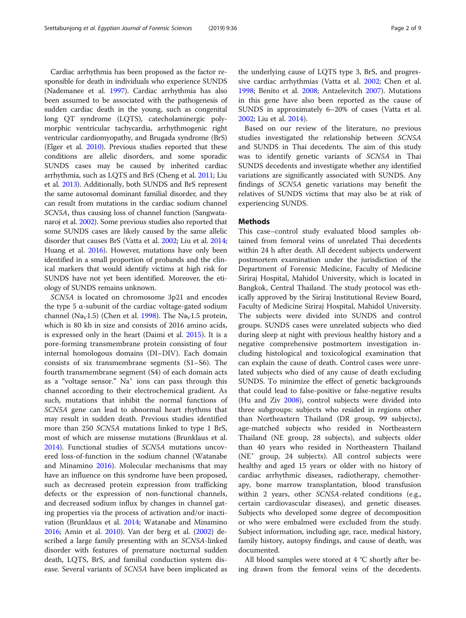Cardiac arrhythmia has been proposed as the factor responsible for death in individuals who experience SUNDS (Nademanee et al. [1997](#page-8-0)). Cardiac arrhythmia has also been assumed to be associated with the pathogenesis of sudden cardiac death in the young, such as congenital long QT syndrome (LQTS), catecholaminergic polymorphic ventricular tachycardia, arrhythmogenic right ventricular cardiomyopathy, and Brugada syndrome (BrS) (Elger et al. [2010\)](#page-7-0). Previous studies reported that these conditions are allelic disorders, and some sporadic SUNDS cases may be caused by inherited cardiac arrhythmia, such as LQTS and BrS (Cheng et al. [2011;](#page-7-0) Liu et al. [2013\)](#page-8-0). Additionally, both SUNDS and BrS represent the same autosomal dominant familial disorder, and they can result from mutations in the cardiac sodium channel SCN5A, thus causing loss of channel function (Sangwatanaroj et al. [2002\)](#page-8-0). Some previous studies also reported that some SUNDS cases are likely caused by the same allelic disorder that causes BrS (Vatta et al. [2002;](#page-8-0) Liu et al. [2014](#page-8-0); Huang et al. [2016\)](#page-8-0). However, mutations have only been identified in a small proportion of probands and the clinical markers that would identify victims at high risk for SUNDS have not yet been identified. Moreover, the etiology of SUNDS remains unknown.

SCN5A is located on chromosome 3p21 and encodes the type 5 α-subunit of the cardiac voltage-gated sodium channel (Na<sub>V</sub>1.5) (Chen et al. [1998\)](#page-7-0). The Na<sub>V</sub>1.5 protein, which is 80 kb in size and consists of 2016 amino acids, is expressed only in the heart (Daimi et al. [2015\)](#page-7-0). It is a pore-forming transmembrane protein consisting of four internal homologous domains (DI–DIV). Each domain consists of six transmembrane segments (S1–S6). The fourth transmembrane segment (S4) of each domain acts as a "voltage sensor."  $Na<sup>+</sup>$  ions can pass through this channel according to their electrochemical gradient. As such, mutations that inhibit the normal functions of SCN5A gene can lead to abnormal heart rhythms that may result in sudden death. Previous studies identified more than 250 SCN5A mutations linked to type 1 BrS, most of which are missense mutations (Brunklaus et al. [2014](#page-7-0)). Functional studies of SCN5A mutations uncovered loss-of-function in the sodium channel (Watanabe and Minamino [2016\)](#page-8-0). Molecular mechanisms that may have an influence on this syndrome have been proposed, such as decreased protein expression from trafficking defects or the expression of non-functional channels, and decreased sodium influx by changes in channel gating properties via the process of activation and/or inactivation (Brunklaus et al. [2014;](#page-7-0) Watanabe and Minamino [2016](#page-8-0); Amin et al. [2010](#page-7-0)). Van der berg et al. ([2002](#page-8-0)) described a large family presenting with an SCN5A-linked disorder with features of premature nocturnal sudden death, LQTS, BrS, and familial conduction system disease. Several variants of SCN5A have been implicated as

the underlying cause of LQTS type 3, BrS, and progressive cardiac arrhythmias (Vatta et al. [2002](#page-8-0); Chen et al. [1998](#page-7-0); Benito et al. [2008;](#page-7-0) Antzelevitch [2007](#page-7-0)). Mutations in this gene have also been reported as the cause of SUNDS in approximately 6–20% of cases (Vatta et al. [2002](#page-8-0); Liu et al. [2014\)](#page-8-0).

Based on our review of the literature, no previous studies investigated the relationship between SCN5A and SUNDS in Thai decedents. The aim of this study was to identify genetic variants of SCN5A in Thai SUNDS decedents and investigate whether any identified variations are significantly associated with SUNDS. Any findings of SCN5A genetic variations may benefit the relatives of SUNDS victims that may also be at risk of experiencing SUNDS.

### Methods

This case–control study evaluated blood samples obtained from femoral veins of unrelated Thai decedents within 24 h after death. All decedent subjects underwent postmortem examination under the jurisdiction of the Department of Forensic Medicine, Faculty of Medicine Siriraj Hospital, Mahidol University, which is located in Bangkok, Central Thailand. The study protocol was ethically approved by the Siriraj Institutional Review Board, Faculty of Medicine Siriraj Hospital, Mahidol University. The subjects were divided into SUNDS and control groups. SUNDS cases were unrelated subjects who died during sleep at night with previous healthy history and a negative comprehensive postmortem investigation including histological and toxicological examination that can explain the cause of death. Control cases were unrelated subjects who died of any cause of death excluding SUNDS. To minimize the effect of genetic backgrounds that could lead to false-positive or false-negative results (Hu and Ziv [2008\)](#page-8-0), control subjects were divided into three subgroups: subjects who resided in regions other than Northeastern Thailand (DR group, 99 subjects), age-matched subjects who resided in Northeastern Thailand (NE group, 28 subjects), and subjects older than 40 years who resided in Northeastern Thailand  $(NE<sup>+</sup> group, 24 subjects).$  All control subjects were healthy and aged 15 years or older with no history of cardiac arrhythmic diseases, radiotherapy, chemotherapy, bone marrow transplantation, blood transfusion within 2 years, other SCN5A-related conditions (e.g., certain cardiovascular diseases), and genetic diseases. Subjects who developed some degree of decomposition or who were embalmed were excluded from the study. Subject information, including age, race, medical history, family history, autopsy findings, and cause of death, was documented.

All blood samples were stored at 4 °C shortly after being drawn from the femoral veins of the decedents.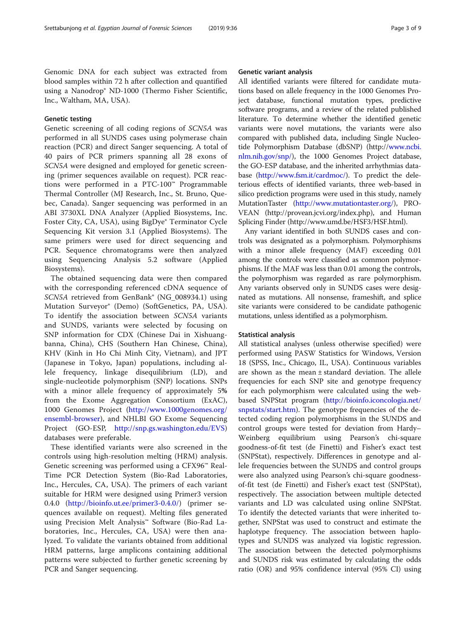Genomic DNA for each subject was extracted from blood samples within 72 h after collection and quantified using a Nanodrop® ND-1000 (Thermo Fisher Scientific, Inc., Waltham, MA, USA).

#### Genetic testing

Genetic screening of all coding regions of SCN5A was performed in all SUNDS cases using polymerase chain reaction (PCR) and direct Sanger sequencing. A total of 40 pairs of PCR primers spanning all 28 exons of SCN5A were designed and employed for genetic screening (primer sequences available on request). PCR reactions were performed in a PTC-100™ Programmable Thermal Controller (MJ Research, Inc., St. Bruno, Quebec, Canada). Sanger sequencing was performed in an ABI 3730XL DNA Analyzer (Applied Biosystems, Inc. Foster City, CA, USA), using BigDye® Terminator Cycle Sequencing Kit version 3.1 (Applied Biosystems). The same primers were used for direct sequencing and PCR. Sequence chromatograms were then analyzed using Sequencing Analysis 5.2 software (Applied Biosystems).

The obtained sequencing data were then compared with the corresponding referenced cDNA sequence of SCN5A retrieved from GenBank® (NG\_008934.1) using Mutation Surveyor® (Demo) (SoftGenetics, PA, USA). To identify the association between SCN5A variants and SUNDS, variants were selected by focusing on SNP information for CDX (Chinese Dai in Xishuangbanna, China), CHS (Southern Han Chinese, China), KHV (Kinh in Ho Chi Minh City, Vietnam), and JPT (Japanese in Tokyo, Japan) populations, including allele frequency, linkage disequilibrium (LD), and single-nucleotide polymorphism (SNP) locations. SNPs with a minor allele frequency of approximately 5% from the Exome Aggregation Consortium (ExAC), 1000 Genomes Project [\(http://www.1000genomes.org/](http://www.1000genomes.org/ensembl-browser) [ensembl-browser](http://www.1000genomes.org/ensembl-browser)), and NHLBI GO Exome Sequencing Project (GO-ESP, <http://snp.gs.washington.edu/EVS>) databases were preferable.

These identified variants were also screened in the controls using high-resolution melting (HRM) analysis. Genetic screening was performed using a CFX96™ Real-Time PCR Detection System (Bio-Rad Laboratories, Inc., Hercules, CA, USA). The primers of each variant suitable for HRM were designed using Primer3 version 0.4.0 ([http://bioinfo.ut.ee/primer3-0.4.0/\)](http://bioinfo.ut.ee/primer3-0.4.0/) (primer sequences available on request). Melting files generated using Precision Melt Analysis™ Software (Bio-Rad Laboratories, Inc., Hercules, CA, USA) were then analyzed. To validate the variants obtained from additional HRM patterns, large amplicons containing additional patterns were subjected to further genetic screening by PCR and Sanger sequencing.

#### Genetic variant analysis

All identified variants were filtered for candidate mutations based on allele frequency in the 1000 Genomes Project database, functional mutation types, predictive software programs, and a review of the related published literature. To determine whether the identified genetic variants were novel mutations, the variants were also compared with published data, including Single Nucleotide Polymorphism Database (dbSNP) (http:/[/www.ncbi.](http://www.ncbi.nlm.nih.gov/snp/) [nlm.nih.gov/snp/\)](http://www.ncbi.nlm.nih.gov/snp/), the 1000 Genomes Project database, the GO-ESP database, and the inherited arrhythmias database [\(http://www.fsm.it/cardmoc/\)](http://www.fsm.it/cardmoc/). To predict the deleterious effects of identified variants, three web-based in silico prediction programs were used in this study, namely MutationTaster (<http://www.mutationtaster.org/>), PRO-VEAN (http://provean.jcvi.org/index.php), and Human Splicing Finder (http://www.umd.be/HSF3/HSF.html).

Any variant identified in both SUNDS cases and controls was designated as a polymorphism. Polymorphisms with a minor allele frequency (MAF) exceeding 0.01 among the controls were classified as common polymorphisms. If the MAF was less than 0.01 among the controls, the polymorphism was regarded as rare polymorphism. Any variants observed only in SUNDS cases were designated as mutations. All nonsense, frameshift, and splice site variants were considered to be candidate pathogenic mutations, unless identified as a polymorphism.

#### Statistical analysis

All statistical analyses (unless otherwise specified) were performed using PASW Statistics for Windows, Version 18 (SPSS, Inc., Chicago, IL, USA). Continuous variables are shown as the mean ± standard deviation. The allele frequencies for each SNP site and genotype frequency for each polymorphism were calculated using the webbased SNPStat program [\(http://bioinfo.iconcologia.net/](http://bioinfo.iconcologia.net/snpstats/start.htm) [snpstats/start.htm](http://bioinfo.iconcologia.net/snpstats/start.htm)). The genotype frequencies of the detected coding region polymorphisms in the SUNDS and control groups were tested for deviation from Hardy– Weinberg equilibrium using Pearson's chi-square goodness-of-fit test (de Finetti) and Fisher's exact test (SNPStat), respectively. Differences in genotype and allele frequencies between the SUNDS and control groups were also analyzed using Pearson's chi-square goodnessof-fit test (de Finetti) and Fisher's exact test (SNPStat), respectively. The association between multiple detected variants and LD was calculated using online SNPStat. To identify the detected variants that were inherited together, SNPStat was used to construct and estimate the haplotype frequency. The association between haplotypes and SUNDS was analyzed via logistic regression. The association between the detected polymorphisms and SUNDS risk was estimated by calculating the odds ratio (OR) and 95% confidence interval (95% CI) using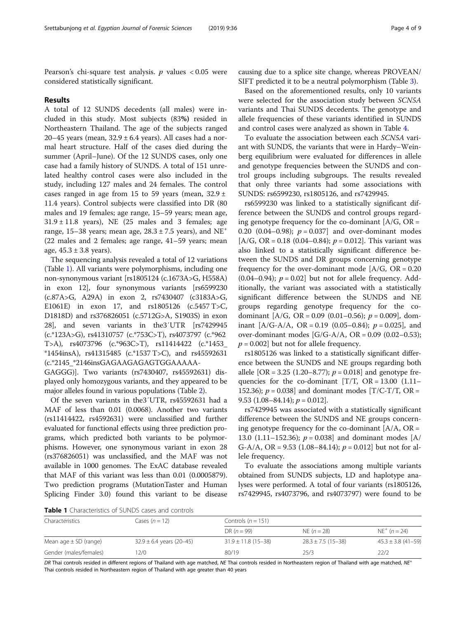Pearson's chi-square test analysis.  $p$  values  $< 0.05$  were considered statistically significant.

#### Results

A total of 12 SUNDS decedents (all males) were included in this study. Most subjects (83%) resided in Northeastern Thailand. The age of the subjects ranged 20–45 years (mean,  $32.9 \pm 6.4$  years). All cases had a normal heart structure. Half of the cases died during the summer (April–June). Of the 12 SUNDS cases, only one case had a family history of SUNDS. A total of 151 unrelated healthy control cases were also included in the study, including 127 males and 24 females. The control cases ranged in age from 15 to 59 years (mean,  $32.9 \pm$ 11.4 years). Control subjects were classified into DR (80 males and 19 females; age range, 15–59 years; mean age,  $31.9 \pm 11.8$  years), NE (25 males and 3 females; age range, 15–38 years; mean age,  $28.3 \pm 7.5$  years), and NE<sup>+</sup> (22 males and 2 females; age range, 41–59 years; mean age,  $45.3 \pm 3.8$  years).

The sequencing analysis revealed a total of 12 variations (Table 1). All variants were polymorphisms, including one non-synonymous variant [rs1805124 (c.1673A>G, H558A) in exon 12], four synonymous variants [rs6599230 (c.87A>G, A29A) in exon 2, rs7430407 (c3183A>G, E1061E) in exon 17, and rs1805126 (c.5457 T>C, D1818D) and rs376826051 (c.5712G>A, S1903S) in exon 28], and seven variants in the3′UTR [rs7429945 (c.\*123A>G), rs41310757 (c.\*753C>T), rs4073797 (c.\*962 T>A), rs4073796 (c.\*963C>T), rs11414422 (c.\*1453\_ \*1454insA), rs41315485 (c.\*1537 T>C), and rs45592631 (c.\*2145\_\*2146insGAGAAGAGAGTGGAAAAA-

GAGGG)]. Two variants (rs7430407, rs45592631) displayed only homozygous variants, and they appeared to be major alleles found in various populations (Table [2](#page-4-0)).

Of the seven variants in the3′UTR, rs45592631 had a MAF of less than 0.01 (0.0068). Another two variants (rs11414422, rs4592631) were unclassified and further evaluated for functional effects using three prediction programs, which predicted both variants to be polymorphisms. However, one synonymous variant in exon 28 (rs376826051) was unclassified, and the MAF was not available in 1000 genomes. The ExAC database revealed that MAF of this variant was less than 0.01 (0.0005879). Two prediction programs (MutationTaster and Human Splicing Finder 3.0) found this variant to be disease

causing due to a splice site change, whereas PROVEAN/ SIFT predicted it to be a neutral polymorphism (Table [3](#page-5-0)).

Based on the aforementioned results, only 10 variants were selected for the association study between SCN5A variants and Thai SUNDS decedents. The genotype and allele frequencies of these variants identified in SUNDS and control cases were analyzed as shown in Table [4.](#page-6-0)

To evaluate the association between each SCN5A variant with SUNDS, the variants that were in Hardy–Weinberg equilibrium were evaluated for differences in allele and genotype frequencies between the SUNDS and control groups including subgroups. The results revealed that only three variants had some associations with SUNDS: rs6599230, rs1805126, and rs7429945.

rs6599230 was linked to a statistically significant difference between the SUNDS and control groups regarding genotype frequency for the co-dominant  $[A/G, OR =$ 0.20 (0.04–0.98);  $p = 0.037$  and over-dominant modes [A/G, OR = 0.18 (0.04–0.84);  $p = 0.012$ ]. This variant was also linked to a statistically significant difference between the SUNDS and DR groups concerning genotype frequency for the over-dominant mode  $[A/G, OR = 0.20]$  $(0.04-0.94)$ ;  $p = 0.02$  but not for allele frequency. Additionally, the variant was associated with a statistically significant difference between the SUNDS and NE groups regarding genotype frequency for the codominant  $[A/G, OR = 0.09 (0.01-0.56); p = 0.009]$ , dominant  $[A/G-A/A, OR = 0.19 (0.05-0.84); p = 0.025]$ , and over-dominant modes  $[G/G-A/A, OR = 0.09 (0.02-0.53);$  $p = 0.002$  but not for allele frequency.

rs1805126 was linked to a statistically significant difference between the SUNDS and NE groups regarding both allele [OR = 3.25 (1.20–8.77);  $p = 0.018$ ] and genotype frequencies for the co-dominant  $[T/T, OR = 13.00 (1.11 -$ 152.36);  $p = 0.038$ ] and dominant modes [T/C-T/T, OR = 9.53 (1.08–84.14);  $p = 0.012$ .

rs7429945 was associated with a statistically significant difference between the SUNDS and NE groups concerning genotype frequency for the co-dominant  $[A/A, OR =$ 13.0 (1.11–152.36);  $p = 0.038$ ] and dominant modes [A/ G-A/A, OR = 9.53 (1.08–84.14);  $p = 0.012$  but not for allele frequency.

To evaluate the associations among multiple variants obtained from SUNDS subjects, LD and haplotype analyses were performed. A total of four variants (rs1805126, rs7429945, rs4073796, and rs4073797) were found to be

Table 1 Characteristics of SUNDS cases and controls

| Characteristics           | Cases $(n = 12)$             | Controls ( $n = 151$ )  |                        |                        |  |  |  |
|---------------------------|------------------------------|-------------------------|------------------------|------------------------|--|--|--|
|                           |                              | DR $(n = 99)$           | NE $(n = 28)$          | $NE^+$ (n = 24)        |  |  |  |
| Mean age $\pm$ SD (range) | $32.9 \pm 6.4$ years (20-45) | $31.9 \pm 11.8$ (15-38) | $28.3 \pm 7.5$ (15-38) | $45.3 \pm 3.8$ (41-59) |  |  |  |
| Gender (males/females)    | 2/0                          | 80/19                   | 25/3                   | 22/2                   |  |  |  |

DR Thai controls resided in different regions of Thailand with age matched, NE Thai controls resided in Northeastern region of Thailand with age matched, NE<sup>+</sup> Thai controls resided in Northeastern region of Thailand with age greater than 40 years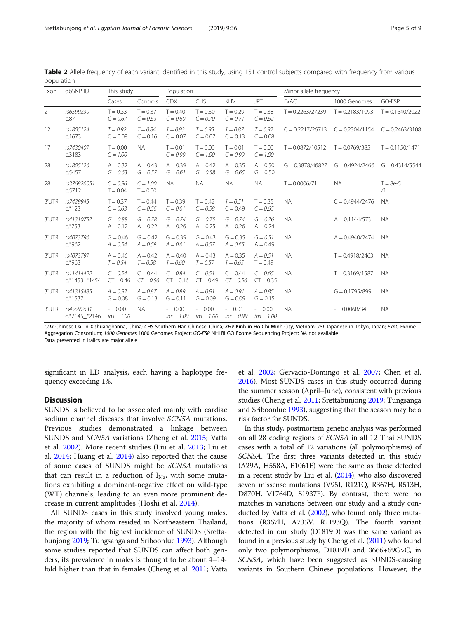| Exon     | dbSNP ID                    | This study                |                           | Population                |                           |                           | Minor allele frequency    |                    |                   |                   |
|----------|-----------------------------|---------------------------|---------------------------|---------------------------|---------------------------|---------------------------|---------------------------|--------------------|-------------------|-------------------|
|          |                             | Cases                     | Controls                  | <b>CDX</b>                | CHS                       | KHV                       | <b>JPT</b>                | ExAC               | 1000 Genomes      | GO-ESP            |
| 2        | rs6599230<br>c.87           | $T = 0.33$<br>$C = 0.67$  | $T = 0.37$<br>$C = 0.63$  | $T = 0.40$<br>$C = 0.60$  | $T = 0.30$<br>$C = 0.70$  | $T = 0.29$<br>$C = 0.71$  | $T = 0.38$<br>$C = 0.62$  | $T = 0.2263/27239$ | $T = 0.2183/1093$ | $T = 0.1640/2022$ |
| 12       | rs1805124<br>c.1673         | $T = 0.92$<br>$C = 0.08$  | $T = 0.84$<br>$C = 0.16$  | $T = 0.93$<br>$C = 0.07$  | $T = 0.93$<br>$C = 0.07$  | $T = 0.87$<br>$C = 0.13$  | $T = 0.92$<br>$C = 0.08$  | $C = 0.2217/26713$ | $C = 0.2304/1154$ | $C = 0.2463/3108$ |
| 17       | rs7430407<br>c.3183         | $T = 0.00$<br>$C = 1.00$  | <b>NA</b>                 | $T = 0.01$<br>$C = 0.99$  | $T = 0.00$<br>$C = 1.00$  | $T = 0.01$<br>$C = 0.99$  | $T = 0.00$<br>$C = 1.00$  | $T = 0.0872/10512$ | $T = 0.0769/385$  | $T = 0.1150/1471$ |
| 28       | rs1805126<br>c.5457         | $A = 0.37$<br>$G = 0.63$  | $A = 0.43$<br>$G = 0.57$  | $A = 0.39$<br>$G = 0.61$  | $A = 0.42$<br>$G = 0.58$  | $A = 0.35$<br>$G = 0.65$  | $A = 0.50$<br>$G = 0.50$  | $G = 0.3878/46827$ | $G = 0.4924/2466$ | $G = 0.4314/5544$ |
| 28       | rs376826051<br>c.5712       | $C = 0.96$<br>$T = 0.04$  | $C = 1.00$<br>$T = 0.00$  | <b>NA</b>                 | <b>NA</b>                 | <b>NA</b>                 | <b>NA</b>                 | $T = 0.0006/71$    | <b>NA</b>         | $T = 8e-5$<br>/1  |
| 3'UTR    | rs7429945<br>$c.*123$       | $T = 0.37$<br>$C = 0.63$  | $T = 0.44$<br>$C = 0.56$  | $T = 0.39$<br>$C = 0.61$  | $T = 0.42$<br>$C = 0.58$  | $T = 0.51$<br>$C = 0.49$  | $T = 0.35$<br>$C = 0.65$  | <b>NA</b>          | $C = 0.4944/2476$ | <b>NA</b>         |
| 3'UTR    | rs41310757<br>$c.*753$      | $G = 0.88$<br>$A = 0.12$  | $G = 0.78$<br>$A = 0.22$  | $G = 0.74$<br>$A = 0.26$  | $G = 0.75$<br>$A = 0.25$  | $G = 0.74$<br>$A = 0.26$  | $G = 0.76$<br>$A = 0.24$  | <b>NA</b>          | $A = 0.1144/573$  | <b>NA</b>         |
| 3'UTR    | rs4073796<br>$c.*962$       | $G = 0.46$<br>$A = 0.54$  | $G = 0.42$<br>$A = 0.58$  | $G = 0.39$<br>$A = 0.61$  | $G = 0.43$<br>$A = 0.57$  | $G = 0.35$<br>$A = 0.65$  | $G = 0.51$<br>$A = 0.49$  | <b>NA</b>          | $A = 0.4940/2474$ | <b>NA</b>         |
| 3'UTR    | rs4073797<br>$c.*963$       | $A = 0.46$<br>$T = 0.54$  | $A = 0.42$<br>$T = 0.58$  | $A = 0.40$<br>$T = 0.60$  | $A = 0.43$<br>$T = 0.57$  | $A = 0.35$<br>$T = 0.65$  | $A = 0.51$<br>$T = 0.49$  | <b>NA</b>          | $T = 0.4918/2463$ | <b>NA</b>         |
| 3'UTR    | rs11414422<br>c.*1453_*1454 | $C = 0.54$<br>$CT = 0.46$ | $C = 0.44$<br>$CT = 0.56$ | $C = 0.84$<br>$CT = 0.16$ | $C = 0.51$<br>$CT = 0.49$ | $C = 0.44$<br>$CT = 0.56$ | $C = 0.65$<br>$CT = 0.35$ | <b>NA</b>          | $T = 0.3169/1587$ | <b>NA</b>         |
| 3'UTR    | rs41315485<br>$c.*1537$     | $A = 0.92$<br>$G = 0.08$  | $A = 0.87$<br>$G = 0.13$  | $A = 0.89$<br>$G = 0.11$  | $A = 0.91$<br>$G = 0.09$  | $A = 0.91$<br>$G = 0.09$  | $A = 0.85$<br>$G = 0.15$  | <b>NA</b>          | $G = 0.1795/899$  | <b>NA</b>         |
| $3'$ UTR | rs45592631<br>c.*2145 *2146 | $= 0.00$<br>$ins = 1.00$  | <b>NA</b>                 | $= 0.00$<br>$ins = 1.00$  | $= 0.00$<br>$ins = 1.00$  | $= 0.01$<br>$ins = 0.99$  | $= 0.00$<br>$ins = 1.00$  | <b>NA</b>          | $= 0.0068/34$     | <b>NA</b>         |

<span id="page-4-0"></span>Table 2 Allele frequency of each variant identified in this study, using 151 control subjects compared with frequency from various population

CDX Chinese Dai in Xishuangbanna, China; CHS Southern Han Chinese, China; KHV Kinh in Ho Chi Minh City, Vietnam; JPT Japanese in Tokyo, Japan; ExAC Exome<br>Aggregation Consortium: 1000 Genomes 1000 Genomes Project: GO-ESP NH Aggregation Consortium; 1000 Genomes 1000 Genomes Project; GO-ESP NHLBI GO Exome Sequencing Project; NA not available Data presented in italics are major allele

significant in LD analysis, each having a haplotype frequency exceeding 1%.

### **Discussion**

SUNDS is believed to be associated mainly with cardiac sodium channel diseases that involve SCN5A mutations. Previous studies demonstrated a linkage between SUNDS and SCN5A variations (Zheng et al. [2015;](#page-8-0) Vatta et al. [2002](#page-8-0)). More recent studies (Liu et al. [2013](#page-8-0); Liu et al. [2014;](#page-8-0) Huang et al. [2014](#page-8-0)) also reported that the cause of some cases of SUNDS might be SCN5A mutations that can result in a reduction of  $I_{Na}$ , with some mutations exhibiting a dominant-negative effect on wild-type (WT) channels, leading to an even more prominent decrease in current amplitudes (Hoshi et al. [2014](#page-8-0)).

All SUNDS cases in this study involved young males, the majority of whom resided in Northeastern Thailand, the region with the highest incidence of SUNDS (Srettabunjong [2019](#page-8-0); Tungsanga and Sriboonlue [1993](#page-8-0)). Although some studies reported that SUNDS can affect both genders, its prevalence in males is thought to be about 4–14 fold higher than that in females (Cheng et al. [2011](#page-7-0); Vatta

et al. [2002](#page-8-0); Gervacio-Domingo et al. [2007](#page-7-0); Chen et al. [2016\)](#page-7-0). Most SUNDS cases in this study occurred during the summer season (April–June), consistent with previous studies (Cheng et al. [2011](#page-7-0); Srettabunjong [2019;](#page-8-0) Tungsanga and Sriboonlue [1993\)](#page-8-0), suggesting that the season may be a risk factor for SUNDS.

In this study, postmortem genetic analysis was performed on all 28 coding regions of SCN5A in all 12 Thai SUNDS cases with a total of 12 variations (all polymorphisms) of SCN5A. The first three variants detected in this study (A29A, H558A, E1061E) were the same as those detected in a recent study by Liu et al. [\(2014\)](#page-8-0), who also discovered seven missense mutations (V95I, R121Q, R367H, R513H, D870H, V1764D, S1937F). By contrast, there were no matches in variations between our study and a study conducted by Vatta et al. [\(2002\)](#page-8-0), who found only three mutations (R367H, A735V, R1193Q). The fourth variant detected in our study (D1819D) was the same variant as found in a previous study by Cheng et al. [\(2011](#page-7-0)) who found only two polymorphisms, D1819D and 3666+69G>C, in SCN5A, which have been suggested as SUNDS-causing variants in Southern Chinese populations. However, the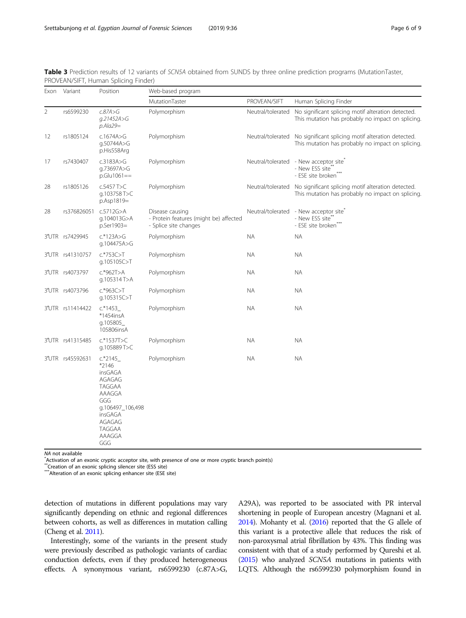<span id="page-5-0"></span>

| Table 3 Prediction results of 12 variants of SCN5A obtained from SUNDS by three online prediction programs (MutationTaster, |  |  |  |
|-----------------------------------------------------------------------------------------------------------------------------|--|--|--|
| PROVEAN/SIFT, Human Splicing Finder)                                                                                        |  |  |  |

|                | Exon Variant     | Position                                                                                                                             | Web-based program                                                                  |                   |                                                                                                                           |  |  |
|----------------|------------------|--------------------------------------------------------------------------------------------------------------------------------------|------------------------------------------------------------------------------------|-------------------|---------------------------------------------------------------------------------------------------------------------------|--|--|
|                |                  |                                                                                                                                      | MutationTaster                                                                     | PROVEAN/SIFT      | Human Splicing Finder                                                                                                     |  |  |
| $\overline{2}$ | rs6599230        | c.87A>6<br>g.21452A>G<br>$p$ .Ala29=                                                                                                 | Polymorphism                                                                       | Neutral/tolerated | No significant splicing motif alteration detected.<br>This mutation has probably no impact on splicing.                   |  |  |
| 12             | rs1805124        | c.1674A>G<br>q.50744A>G<br>p.His558Arg                                                                                               | Polymorphism                                                                       |                   | Neutral/tolerated No significant splicing motif alteration detected.<br>This mutation has probably no impact on splicing. |  |  |
| 17             | rs7430407        | c.3183A>G<br>g.73697A>G<br>$p.Glu1061 ==$                                                                                            | Polymorphism                                                                       |                   | Neutral/tolerated - New acceptor site <sup>7</sup><br>- New ESS site*<br>- ESE site broken <sup>®</sup>                   |  |  |
| 28             | rs1805126        | c.5457 T>C<br>q.103758 T>C<br>p.Asp1819=                                                                                             | Polymorphism                                                                       |                   | Neutral/tolerated No significant splicing motif alteration detected.<br>This mutation has probably no impact on splicing. |  |  |
| 28             | rs376826051      | c.5712G > A<br>g.104013G>A<br>p.Ser1903=                                                                                             | Disease causing<br>- Protein features (might be) affected<br>- Splice site changes | Neutral/tolerated | - New acceptor site<br>- New ESS site**<br>- ESE site broken <sup>7</sup>                                                 |  |  |
|                | 3'UTR rs7429945  | $c.*123A > G$<br>g.104475A>G                                                                                                         | Polymorphism                                                                       | <b>NA</b>         | <b>NA</b>                                                                                                                 |  |  |
|                | 3'UTR rs41310757 | $c.*753C>$ T<br>q.105105C>T                                                                                                          | Polymorphism                                                                       | NA.               | <b>NA</b>                                                                                                                 |  |  |
|                | 3'UTR rs4073797  | $c.*962T>A$<br>g.105314T>A                                                                                                           | Polymorphism                                                                       | NA.               | ΝA                                                                                                                        |  |  |
|                | 3'UTR rs4073796  | $c.*963C > T$<br>g.105315C>T                                                                                                         | Polymorphism                                                                       | NA.               | ΝA                                                                                                                        |  |  |
|                | 3'UTR rs11414422 | c.*1453<br>*1454insA<br>g.105805<br>105806insA                                                                                       | Polymorphism                                                                       | NA.               | ΝA                                                                                                                        |  |  |
|                | 3'UTR rs41315485 | $c.*1537T>C$<br>g.105889T>C                                                                                                          | Polymorphism                                                                       | NA.               | ΝA                                                                                                                        |  |  |
|                | 3'UTR rs45592631 | c.*2145<br>*2146<br>insGAGA<br>AGAGAG<br>TAGGAA<br>AAAGGA<br>GGG<br>g.106497_106,498<br>insGAGA<br>AGAGAG<br>TAGGAA<br>AAAGGA<br>GGG | Polymorphism                                                                       | NA.               | ΝA                                                                                                                        |  |  |

NA not available

 $*$  Activation of an exonic cryptic acceptor site, with presence of one or more cryptic branch point(s)

\*\*Creation of an exonic splicing silencer site (ESS site)

\*\*\*Alteration of an exonic splicing enhancer site (ESE site)

detection of mutations in different populations may vary significantly depending on ethnic and regional differences between cohorts, as well as differences in mutation calling (Cheng et al. [2011\)](#page-7-0).

Interestingly, some of the variants in the present study were previously described as pathologic variants of cardiac conduction defects, even if they produced heterogeneous effects. A synonymous variant, rs6599230 (c.87A>G,

A29A), was reported to be associated with PR interval shortening in people of European ancestry (Magnani et al. [2014\)](#page-8-0). Mohanty et al. [\(2016](#page-8-0)) reported that the G allele of this variant is a protective allele that reduces the risk of non-paroxysmal atrial fibrillation by 43%. This finding was consistent with that of a study performed by Qureshi et al. ([2015\)](#page-8-0) who analyzed SCN5A mutations in patients with LQTS. Although the rs6599230 polymorphism found in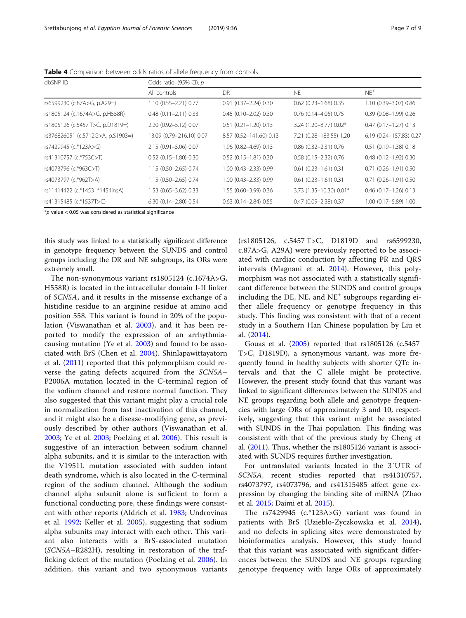| dbSNP ID                          | Odds ratio, (95% CI), p   |                               |                               |                               |  |  |  |
|-----------------------------------|---------------------------|-------------------------------|-------------------------------|-------------------------------|--|--|--|
|                                   | All controls              | DR                            | NE.                           | $NE$ <sup>+</sup>             |  |  |  |
| rs6599230 (c.87A>G, p.A29=)       | 1.10 (0.55-2.21) 0.77     | $0.91$ $(0.37 - 2.24)$ $0.30$ | $0.62$ (0.23-1.68) 0.35       | 1.10 (0.39-3.07) 0.86         |  |  |  |
| rs1805124 (c.1674A>G, p.H558R)    | $0.48$ (0.11 - 2.11) 0.33 | $0.45(0.10 - 2.02)0.30$       | $0.76$ (0.14-4.05) 0.75       | $0.39$ $(0.08 - 1.99)$ $0.26$ |  |  |  |
| rs1805126 (c.5457 T>C, p.D1819=)  | 2.20 (0.92-5.12) 0.07     | $0.51$ $(0.21 - 1.20)$ $0.13$ | 3.24 (1.20-8.77) 0.02*        | $0.47$ $(0.17 - 1.27)$ $0.13$ |  |  |  |
| rs376826051 (c.5712G>A, p.S1903=) | 13.09 (0.79-216.10) 0.07  | 8.57 (0.52-141.60) 0.13       | 7.21 (0.28-183.55) 1.20       | 6.19 (0.24-157.83) 0.27       |  |  |  |
| rs7429945 (c.*123A>G)             | 2.15 (0.91-5.06) 0.07     | 1.96 (0.82-4.69) 0.13         | $0.86$ $(0.32 - 2.31)$ $0.76$ | $0.51$ $(0.19 - 1.38)$ $0.18$ |  |  |  |
| rs41310757 (c.*753C>T)            | $0.52$ (0.15-1.80) 0.30   | $0.52$ (0.15-1.81) 0.30       | $0.58$ (0.15 - 2.32) 0.76     | $0.48$ $(0.12 - 1.92)$ $0.30$ |  |  |  |
| rs4073796 (c.*963C>T)             | 1.15 (0.50-2.65) 0.74     | 1.00 (0.43-2.33) 0.99         | $0.61$ $(0.23 - 1.61)$ $0.31$ | $0.71$ $(0.26 - 1.91)$ $0.50$ |  |  |  |
| rs4073797 (c.*962T>A)             | 1.15 (0.50-2.65) 0.74     | 1.00 (0.43-2.33) 0.99         | $0.61$ $(0.23 - 1.61)$ $0.31$ | $0.71$ $(0.26 - 1.91)$ $0.50$ |  |  |  |
| rs11414422 (c.*1453_*1454insA)    | 1.53 (0.65-3.62) 0.33     | 1.55 (0.60-3.99) 0.36         | 3.73 (1.35-10.30) 0.01*       | $0.46$ $(0.17 - 1.26)$ $0.13$ |  |  |  |
| rs41315485 (c.*1537T>C)           | $6.30(0.14 - 2.80)0.54$   | $0.63$ $(0.14 - 2.84)$ $0.55$ | $0.47$ (0.09-2.38) 0.37       | 1.00 (0.17-5.89) 1.00         |  |  |  |

<span id="page-6-0"></span>Table 4 Comparison between odds ratios of allele frequency from controls

 $*p$  value < 0.05 was considered as statistical significance

this study was linked to a statistically significant difference in genotype frequency between the SUNDS and control groups including the DR and NE subgroups, its ORs were extremely small.

The non-synonymous variant rs1805124 (c.1674A>G, H558R) is located in the intracellular domain I-II linker of SCN5A, and it results in the missense exchange of a histidine residue to an arginine residue at amino acid position 558. This variant is found in 20% of the population (Viswanathan et al. [2003](#page-8-0)), and it has been reported to modify the expression of an arrhythmiacausing mutation (Ye et al. [2003\)](#page-8-0) and found to be associated with BrS (Chen et al. [2004\)](#page-7-0). Shinlapawittayatorn et al. ([2011\)](#page-8-0) reported that this polymorphism could reverse the gating defects acquired from the SCN5A– P2006A mutation located in the C-terminal region of the sodium channel and restore normal function. They also suggested that this variant might play a crucial role in normalization from fast inactivation of this channel, and it might also be a disease-modifying gene, as previously described by other authors (Viswanathan et al. [2003;](#page-8-0) Ye et al. [2003;](#page-8-0) Poelzing et al. [2006](#page-8-0)). This result is suggestive of an interaction between sodium channel alpha subunits, and it is similar to the interaction with the V1951L mutation associated with sudden infant death syndrome, which is also located in the C-terminal region of the sodium channel. Although the sodium channel alpha subunit alone is sufficient to form a functional conducting pore, these findings were consistent with other reports (Aldrich et al. [1983;](#page-7-0) Undrovinas et al. [1992;](#page-8-0) Keller et al. [2005](#page-8-0)), suggesting that sodium alpha subunits may interact with each other. This variant also interacts with a BrS-associated mutation (SCN5A–R282H), resulting in restoration of the trafficking defect of the mutation (Poelzing et al. [2006\)](#page-8-0). In addition, this variant and two synonymous variants

(rs1805126, c.5457 T>C, D1819D and rs6599230, c.87A>G, A29A) were previously reported to be associated with cardiac conduction by affecting PR and QRS intervals (Magnani et al. [2014\)](#page-8-0). However, this polymorphism was not associated with a statistically significant difference between the SUNDS and control groups including the DE, NE, and  $NE^+$  subgroups regarding either allele frequency or genotype frequency in this study. This finding was consistent with that of a recent study in a Southern Han Chinese population by Liu et al. [\(2014](#page-8-0)).

Gouas et al. ([2005](#page-8-0)) reported that rs1805126 (c.5457 T>C, D1819D), a synonymous variant, was more frequently found in healthy subjects with shorter QTc intervals and that the C allele might be protective. However, the present study found that this variant was linked to significant differences between the SUNDS and NE groups regarding both allele and genotype frequencies with large ORs of approximately 3 and 10, respectively, suggesting that this variant might be associated with SUNDS in the Thai population. This finding was consistent with that of the previous study by Cheng et al. ([2011\)](#page-7-0). Thus, whether the rs1805126 variant is associated with SUNDS requires further investigation.

For untranslated variants located in the 3′UTR of SCN5A, recent studies reported that rs41310757, rs4073797, rs4073796, and rs41315485 affect gene expression by changing the binding site of miRNA (Zhao et al. [2015;](#page-8-0) Daimi et al. [2015\)](#page-7-0).

The rs7429945 (c.\*123A>G) variant was found in patients with BrS (Uzieblo-Zyczkowska et al. [2014](#page-8-0)), and no defects in splicing sites were demonstrated by bioinformatics analysis. However, this study found that this variant was associated with significant differences between the SUNDS and NE groups regarding genotype frequency with large ORs of approximately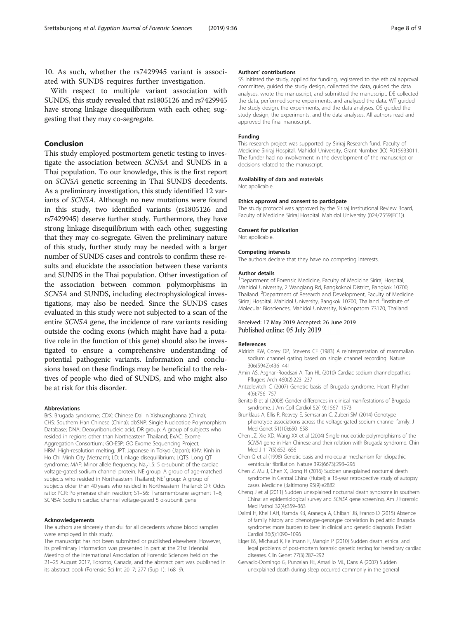<span id="page-7-0"></span>10. As such, whether the rs7429945 variant is associated with SUNDS requires further investigation.

With respect to multiple variant association with SUNDS, this study revealed that rs1805126 and rs7429945 have strong linkage disequilibrium with each other, suggesting that they may co-segregate.

#### Conclusion

This study employed postmortem genetic testing to investigate the association between SCN5A and SUNDS in a Thai population. To our knowledge, this is the first report on SCN5A genetic screening in Thai SUNDS decedents. As a preliminary investigation, this study identified 12 variants of SCN5A. Although no new mutations were found in this study, two identified variants (rs1805126 and rs7429945) deserve further study. Furthermore, they have strong linkage disequilibrium with each other, suggesting that they may co-segregate. Given the preliminary nature of this study, further study may be needed with a larger number of SUNDS cases and controls to confirm these results and elucidate the association between these variants and SUNDS in the Thai population. Other investigation of the association between common polymorphisms in SCN5A and SUNDS, including electrophysiological investigations, may also be needed. Since the SUNDS cases evaluated in this study were not subjected to a scan of the entire SCN5A gene, the incidence of rare variants residing outside the coding exons (which might have had a putative role in the function of this gene) should also be investigated to ensure a comprehensive understanding of potential pathogenic variants. Information and conclusions based on these findings may be beneficial to the relatives of people who died of SUNDS, and who might also be at risk for this disorder.

#### Abbreviations

BrS: Brugada syndrome; CDX: Chinese Dai in Xishuangbanna (China); CHS: Southern Han Chinese (China); dbSNP: Single Nucleotide Polymorphism Database; DNA: Deoxyribonucleic acid; DR group: A group of subjects who resided in regions other than Northeastern Thailand; ExAC: Exome Aggregation Consortium; GO-ESP: GO Exome Sequencing Project; HRM: High-resolution melting; JPT: Japanese in Tokyo (Japan); KHV: Kinh in Ho Chi Minh City (Vietnam); LD: Linkage disequilibrium; LQTS: Long QT syndrome; MAF: Minor allele frequency; Na<sub>ν</sub>1.5: 5 α-subunit of the cardiac voltage-gated sodium channel protein; NE group: A group of age-matched subjects who resided in Northeastern Thailand; NE<sup>+</sup>group: A group of subjects older than 40 years who resided in Northeastern Thailand; OR: Odds ratio; PCR: Polymerase chain reaction; S1–S6: Transmembrane segment 1–6; SCN5A: Sodium cardiac channel voltage-gated 5 α-subunit gene

#### Acknowledgements

The authors are sincerely thankful for all decedents whose blood samples were employed in this study.

The manuscript has not been submitted or published elsewhere. However, its preliminary information was presented in part at the 21st Triennial Meeting of the International Association of Forensic Sciences held on the 21–25 August 2017, Toronto, Canada, and the abstract part was published in its abstract book (Forensic Sci Int 2017; 277 (Sup 1): 168–9).

#### Authors' contributions

SS initiated the study, applied for funding, registered to the ethical approval committee, guided the study design, collected the data, guided the data analyses, wrote the manuscript, and submitted the manuscript. DE collected the data, performed some experiments, and analyzed the data. WT guided the study design, the experiments, and the data analyses. OS guided the study design, the experiments, and the data analyses. All authors read and approved the final manuscript.

#### Funding

This research project was supported by Siriraj Research fund, Faculty of Medicine Siriraj Hospital, Mahidol University, Grant Number (IO) R015933011. The funder had no involvement in the development of the manuscript or decisions related to the manuscript.

#### Availability of data and materials

Not applicable.

#### Ethics approval and consent to participate

The study protocol was approved by the Siriraj Institutional Review Board, Faculty of Medicine Siriraj Hospital. Mahidol University (024/2559(EC1)).

#### Consent for publication

Not applicable.

#### Competing interests

The authors declare that they have no competing interests.

#### Author details

<sup>1</sup>Department of Forensic Medicine, Faculty of Medicine Siriraj Hospital Mahidol University, 2 Wanglang Rd, Bangkoknoi District, Bangkok 10700, Thailand. <sup>2</sup>Department of Research and Development, Faculty of Medicine Siriraj Hospital, Mahidol University, Bangkok 10700, Thailand. <sup>3</sup>Institute of Molecular Biosciences, Mahidol University, Nakonpatom 73170, Thailand.

#### Received: 17 May 2019 Accepted: 26 June 2019 Published online: 05 July 2019

#### References

- Aldrich RW, Corey DP, Stevens CF (1983) A reinterpretation of mammalian sodium channel gating based on single channel recording. Nature 306(5942):436–441
- Amin AS, Asghari-Roodsari A, Tan HL (2010) Cardiac sodium channelopathies. Pflugers Arch 460(2):223–237
- Antzelevitch C (2007) Genetic basis of Brugada syndrome. Heart Rhythm 4(6):756–757
- Benito B et al (2008) Gender differences in clinical manifestations of Brugada syndrome. J Am Coll Cardiol 52(19):1567–1573

Brunklaus A, Ellis R, Reavey E, Semsarian C, Zuberi SM (2014) Genotype phenotype associations across the voltage-gated sodium channel family. J Med Genet 51(10):650–658

Chen JZ, Xie XD, Wang XX et al (2004) Single nucleotide polymorphisms of the SCN5A gene in Han Chinese and their relation with Brugada syndrome. Chin Med J 117(5):652–656

- Chen Q et al (1998) Genetic basis and molecular mechanism for idiopathic ventricular fibrillation. Nature 392(6673):293–296
- Chen Z, Mu J, Chen X, Dong H (2016) Sudden unexplained nocturnal death syndrome in Central China (Hubei): a 16-year retrospective study of autopsy cases. Medicine (Baltimore) 95(9):e2882
- Cheng J et al (2011) Sudden unexplained nocturnal death syndrome in southern China: an epidemiological survey and SCN5A gene screening. Am J Forensic Med Pathol 32(4):359–363
- Daimi H, Khelil AH, Hamda KB, Aranega A, Chibani JB, Franco D (2015) Absence of family history and phenotype-genotype correlation in pediatric Brugada syndrome: more burden to bear in clinical and genetic diagnosis. Pediatr Cardiol 36(5):1090–1096
- Elger BS, Michaud K, Fellmann F, Mangin P (2010) Sudden death: ethical and legal problems of post-mortem forensic genetic testing for hereditary cardiac diseases. Clin Genet 77(3):287–292
- Gervacio-Domingo G, Punzalan FE, Amarillo ML, Dans A (2007) Sudden unexplained death during sleep occurred commonly in the general